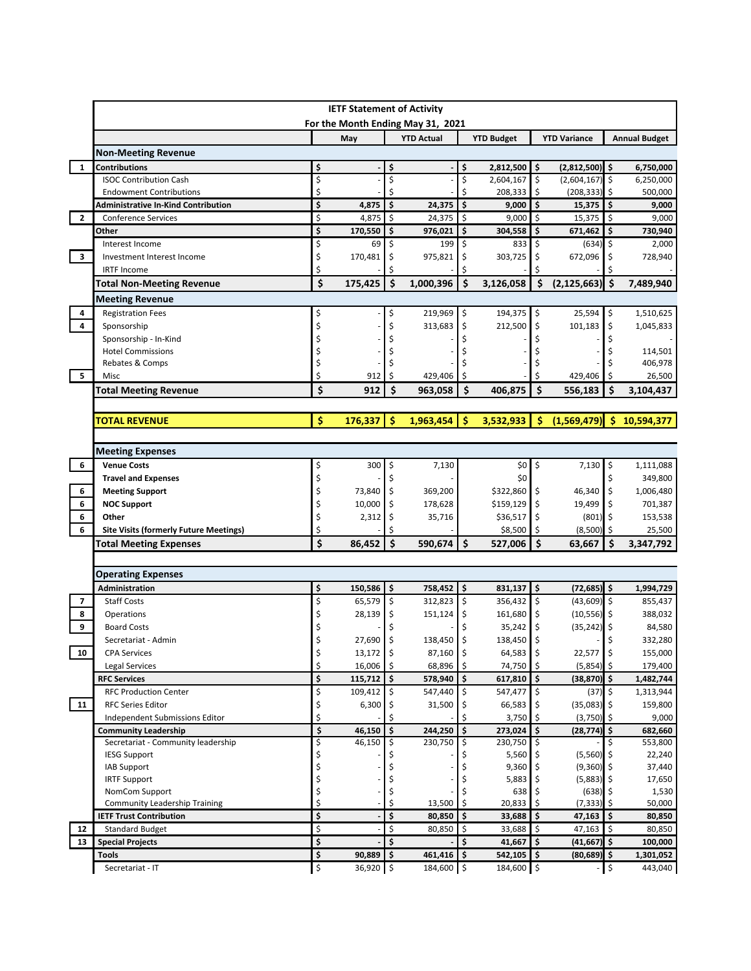|                                                                      |                                                                                |          | <b>IETF Statement of Activity</b> |                                                        |                    |                             |                     |                                 |           |                                                                                                                                                               |
|----------------------------------------------------------------------|--------------------------------------------------------------------------------|----------|-----------------------------------|--------------------------------------------------------|--------------------|-----------------------------|---------------------|---------------------------------|-----------|---------------------------------------------------------------------------------------------------------------------------------------------------------------|
|                                                                      |                                                                                |          |                                   | For the Month Ending May 31, 2021<br><b>YTD Actual</b> |                    | <b>YTD Budget</b>           |                     | <b>YTD Variance</b>             |           | <b>Annual Budget</b>                                                                                                                                          |
|                                                                      |                                                                                |          | May                               |                                                        |                    |                             |                     |                                 |           |                                                                                                                                                               |
|                                                                      | <b>Non-Meeting Revenue</b>                                                     |          |                                   |                                                        |                    |                             |                     |                                 |           |                                                                                                                                                               |
| $\mathbf{1}$                                                         | <b>Contributions</b><br><b>ISOC Contribution Cash</b>                          | \$       |                                   | \$                                                     | \$                 | $2,812,500$ \$              |                     | $(2,812,500)$ \$                |           | 6,750,000                                                                                                                                                     |
|                                                                      |                                                                                | \$<br>\$ |                                   | \$<br>Ś                                                | \$<br>Ś            | 2,604,167                   | \$                  | (2,604,167)                     | \$        | 6,250,000                                                                                                                                                     |
|                                                                      | <b>Endowment Contributions</b>                                                 | \$       |                                   | \$<br>24,375                                           | $\mathsf{\hat{S}}$ | 208,333                     | \$<br>\$            | (208, 333)                      | \$<br>\$  | 500,000                                                                                                                                                       |
| $\overline{2}$                                                       | <b>Administrative In-Kind Contribution</b>                                     | \$       | 4,875                             | \$                                                     | \$                 | 9,000<br>9,000              | \$                  | 15,375<br>15,375                | \$        | 9,000                                                                                                                                                         |
|                                                                      | <b>Conference Services</b><br>Other                                            | \$       | 4,875<br>170,550                  | 24,375<br>\$                                           | \$                 | 304,558                     | \$                  | 671,462                         | \$        | 9,000                                                                                                                                                         |
|                                                                      | Interest Income                                                                | \$       | 69                                | 976,021<br>199<br>\$                                   | \$                 | 833                         | \$                  | (634)                           | \$        | 730,940<br>2,000                                                                                                                                              |
| $\overline{\mathbf{3}}$                                              | Investment Interest Income                                                     | \$       | 170,481                           | 975,821<br>\$                                          | \$                 | 303,725                     | \$                  | 672,096                         | \$        | 728,940                                                                                                                                                       |
|                                                                      | <b>IRTF Income</b>                                                             | \$       |                                   | Ś                                                      |                    |                             |                     |                                 |           |                                                                                                                                                               |
|                                                                      |                                                                                |          |                                   |                                                        |                    |                             |                     |                                 |           |                                                                                                                                                               |
|                                                                      | <b>Total Non-Meeting Revenue</b>                                               | \$       | 175,425                           | \$<br>1,000,396                                        | \$                 | 3,126,058                   | \$                  | $(2, 125, 663)$ \$              |           | 7,489,940                                                                                                                                                     |
|                                                                      | <b>Meeting Revenue</b>                                                         |          |                                   |                                                        |                    |                             |                     |                                 |           |                                                                                                                                                               |
| 4                                                                    | <b>Registration Fees</b>                                                       | \$       |                                   | 219,969<br>\$                                          | \$                 | 194,375                     | $\ddot{\phi}$       | 25,594                          | \$        | 1,510,625                                                                                                                                                     |
| $\overline{4}$                                                       | Sponsorship                                                                    | \$       |                                   | \$<br>313,683                                          | \$                 | 212,500                     | \$                  | 101,183                         | \$        | 1,045,833                                                                                                                                                     |
|                                                                      | Sponsorship - In-Kind                                                          | \$       |                                   |                                                        | Ś                  |                             | Ś                   |                                 | \$        |                                                                                                                                                               |
|                                                                      | <b>Hotel Commissions</b>                                                       | \$       |                                   |                                                        |                    |                             |                     |                                 |           | 114,501                                                                                                                                                       |
|                                                                      | Rebates & Comps                                                                | \$       |                                   |                                                        |                    |                             |                     |                                 |           | 406,978                                                                                                                                                       |
| 5                                                                    | Misc                                                                           | \$       | 912                               | 429,406<br>Ŝ                                           | Ś                  |                             |                     | 429,406                         | Ŝ         | 26,500                                                                                                                                                        |
|                                                                      | <b>Total Meeting Revenue</b>                                                   | \$       | 912                               | Ś<br>963,058                                           | Ś                  | 406,875                     | Ś                   | 556,183                         | Ś         | 3,104,437                                                                                                                                                     |
|                                                                      |                                                                                |          |                                   |                                                        |                    |                             |                     |                                 |           |                                                                                                                                                               |
|                                                                      | <b><i>TOTAL REVENUE</i></b>                                                    | \$       | 176,337                           | -\$<br>1,963,454                                       | l \$               | $3,532,933$ \$              |                     | $(1,569,479)$ \$                |           | 10,594,377                                                                                                                                                    |
|                                                                      | <b>Meeting Expenses</b>                                                        |          |                                   |                                                        |                    |                             |                     |                                 |           |                                                                                                                                                               |
| 6                                                                    | <b>Venue Costs</b>                                                             | \$       | 300                               | 7,130<br>\$                                            |                    | \$0 <sub>1</sub>            | $\ddot{\mathsf{s}}$ | $7,130$ \$                      |           | 1,111,088                                                                                                                                                     |
|                                                                      | <b>Travel and Expenses</b>                                                     | \$       |                                   |                                                        |                    | \$0                         |                     |                                 | \$        | 349,800                                                                                                                                                       |
| 6                                                                    | <b>Meeting Support</b>                                                         | \$       | 73,840                            | \$<br>369,200                                          |                    | \$322,860                   | \$                  | 46,340                          | \$        | 1,006,480                                                                                                                                                     |
|                                                                      | <b>NOC Support</b>                                                             | \$       | 10,000                            | 178,628<br>\$                                          |                    | \$159,129                   | \$                  | 19,499                          | \$        | 701,387                                                                                                                                                       |
|                                                                      |                                                                                |          |                                   |                                                        |                    |                             |                     |                                 |           |                                                                                                                                                               |
|                                                                      | Other                                                                          |          |                                   |                                                        |                    |                             |                     |                                 |           |                                                                                                                                                               |
|                                                                      |                                                                                | \$<br>\$ | 2,312                             | \$<br>35,716                                           |                    | \$36,517                    | \$<br>Ŝ             | (801)                           | \$<br>-\$ |                                                                                                                                                               |
|                                                                      | <b>Site Visits (formerly Future Meetings)</b><br><b>Total Meeting Expenses</b> | Ś        | 86,452                            | \$<br>590,674                                          | Ś.                 | \$8,500<br>527,006          | \$                  | (8,500)<br>63,667               | \$.       |                                                                                                                                                               |
|                                                                      |                                                                                |          |                                   |                                                        |                    |                             |                     |                                 |           | 153,538<br>25,500<br>3,347,792                                                                                                                                |
|                                                                      | <b>Operating Expenses</b>                                                      |          |                                   |                                                        |                    |                             |                     |                                 |           |                                                                                                                                                               |
|                                                                      | Administration                                                                 | \$       | 150,586                           | $\ddot{\bm{\zeta}}$<br>758,452                         | ١s                 | $831,137$ \$                |                     | $(72, 685)$ \$                  |           | 1,994,729                                                                                                                                                     |
|                                                                      | <b>Staff Costs</b>                                                             | \$       | 65,579                            | \$<br>312,823                                          | \$                 | 356,432 \$                  |                     | $(43,609)$ \$                   |           |                                                                                                                                                               |
|                                                                      | Operations                                                                     | \$       | 28,139                            | \$<br>151,124                                          | \$                 | 161,680                     | \$                  | (10, 556)                       | \$        |                                                                                                                                                               |
|                                                                      | <b>Board Costs</b>                                                             | \$       |                                   |                                                        | \$                 | 35,242                      | \$                  | (35, 242)                       | \$        |                                                                                                                                                               |
|                                                                      | Secretariat - Admin                                                            | \$       | 27,690                            | \$<br>138,450                                          | \$                 | 138,450 \$                  |                     |                                 | \$        |                                                                                                                                                               |
|                                                                      | <b>CPA Services</b>                                                            | \$       | $13,172$ \$                       | $87,160$ \$                                            |                    | $64,583$ \$                 |                     | $22,577$ \$                     |           | 855,437<br>388,032<br>84,580<br>332,280<br>155,000                                                                                                            |
|                                                                      | <b>Legal Services</b>                                                          | \$       | 16,006                            | \$<br>68,896                                           | \$                 | 74,750 \$                   |                     | $(5,854)$ \$                    |           | 179,400                                                                                                                                                       |
|                                                                      | <b>RFC Services</b>                                                            | \$       | 115,712                           | \$<br>578,940                                          | \$                 | $617,810$ \$                |                     | $(38, 870)$ \$                  |           |                                                                                                                                                               |
|                                                                      | <b>RFC Production Center</b>                                                   | \$       | 109,412                           | \$<br>547,440                                          | \$                 | 547,477 \$                  |                     | $(37)$ \$                       |           |                                                                                                                                                               |
|                                                                      | <b>RFC Series Editor</b>                                                       | \$       | 6,300                             | 31,500<br>\$                                           | \$                 | 66,583                      | \$                  | $(35,083)$ \$                   |           |                                                                                                                                                               |
|                                                                      | Independent Submissions Editor                                                 | \$       |                                   | \$                                                     |                    | $3,750$ \$                  |                     | $(3,750)$ \$                    |           |                                                                                                                                                               |
|                                                                      | <b>Community Leadership</b>                                                    | \$       | 46,150                            | \$<br>244,250                                          | \$                 | $273,024$ \$                |                     | $(28, 774)$ \$                  |           |                                                                                                                                                               |
|                                                                      | Secretariat - Community leadership                                             | \$       | 46,150                            | 230,750                                                | \$                 | 230,750                     | \$                  |                                 | Ŝ.        |                                                                                                                                                               |
|                                                                      | <b>IESG Support</b>                                                            | \$       |                                   |                                                        |                    | 5,560                       | \$                  | $(5,560)$ \$                    |           |                                                                                                                                                               |
|                                                                      | <b>IAB Support</b>                                                             | \$       |                                   |                                                        |                    | 9,360                       | \$                  | $(9,360)$ \$                    |           |                                                                                                                                                               |
|                                                                      | <b>IRTF Support</b>                                                            | \$       |                                   |                                                        |                    | 5,883                       |                     | $(5,883)$ \$                    |           |                                                                                                                                                               |
|                                                                      | NomCom Support                                                                 | \$       |                                   | \$                                                     |                    | 638                         | \$                  | $(638)$ \$                      |           |                                                                                                                                                               |
|                                                                      | <b>Community Leadership Training</b>                                           | \$       |                                   | \$<br>13,500                                           | \$                 | 20,833                      | l\$                 | (7, 333)                        | -\$       |                                                                                                                                                               |
| 9                                                                    | <b>IETF Trust Contribution</b>                                                 | \$       |                                   | \$<br>80,850                                           | \$                 | $33,688$ \$                 |                     | $47,163$ \$                     |           |                                                                                                                                                               |
|                                                                      | <b>Standard Budget</b>                                                         | \$       |                                   | \$<br>80,850                                           | \$                 | 33,688 \$                   |                     | $47,163$ \$                     |           |                                                                                                                                                               |
| 6<br>6<br>6<br>$\overline{\phantom{a}}$<br>8<br>10<br>11<br>12<br>13 | <b>Special Projects</b><br>Tools                                               | \$<br>\$ | 90,889                            | \$<br>\$<br>$461,416$ \$                               | \$                 | $41,667$ \$<br>$542,105$ \$ |                     | $(41,667)$ \$<br>$(80, 689)$ \$ |           | 1,482,744<br>1,313,944<br>159,800<br>9,000<br>682,660<br>553,800<br>22,240<br>37,440<br>17,650<br>1,530<br>50,000<br>80,850<br>80,850<br>100,000<br>1,301,052 |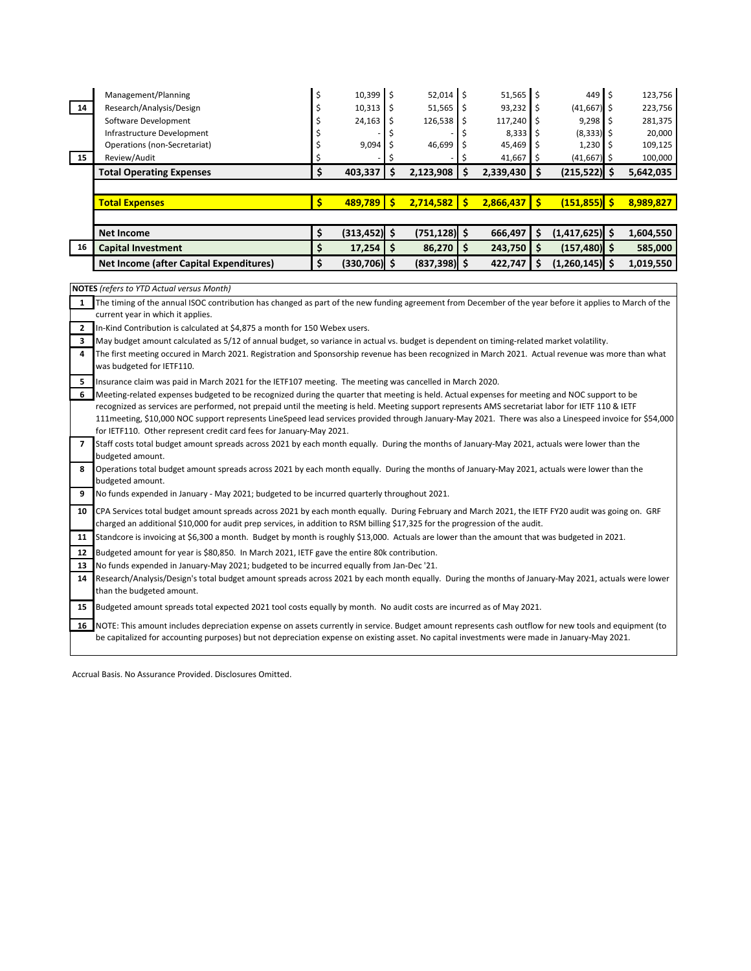|    | Management/Planning             | $10,399$ \$ | $52,014$ \$  | $51,565$ $\frac{1}{5}$ | 449                   | 123,756   |
|----|---------------------------------|-------------|--------------|------------------------|-----------------------|-----------|
|    |                                 |             |              |                        |                       |           |
| 14 | Research/Analysis/Design        | 10,313      | $51,565$ \$  | $93,232$ \$            | $(41,667)$ \$         | 223,756   |
|    | Software Development            | 24,163      | $126,538$ \$ | 117,240                | $9.298$ $\frac{1}{2}$ | 281,375   |
|    | Infrastructure Development      |             |              | $8,333$ $\pm$          | $(8,333)$ \$          | 20,000    |
|    | Operations (non-Secretariat)    | $9,094$ \$  | $46,699$ \$  | $45,469$ \$            | 1,230                 | 109,125   |
| 15 | Review/Audit                    |             |              | 41,667                 | $(41,667)$ \$         | 100,000   |
|    | <b>Total Operating Expenses</b> | 403,337     | 2,123,908    | $2,339,430$ \$         | $(215,522)$ \$        | 5,642,035 |
|    |                                 |             |              |                        |                       |           |
|    | <b>Cotal Expenses</b>           | 489,789     | 2,714,582    | 2.866.437              | (151, 855)            | 8.989.827 |

|    | Net Income                                     | $(313, 452)$ : | $(751.128)$ S                        | 666.497   | $(1,417,625)$ \$ | 1,604,550 |
|----|------------------------------------------------|----------------|--------------------------------------|-----------|------------------|-----------|
| 16 | <b>Capital Investment</b>                      | 17,254         | $86,270$ $\overline{\phantom{1}}$ \$ | 243.750 S | $(157, 480)$ \$  | 585,000   |
|    | <b>Net Income (after Capital Expenditures)</b> | $(330,706)$ \$ | $(837.398)$ S                        | 422.747   | $(1,260,145)$ \$ | 1.019.550 |

**NOTES** (refers to YTD Actual versus Month)

1 The timing of the annual ISOC contribution has changed as part of the new funding agreement from December of the year before it applies to March of the **2** In-Kind Contribution is calculated at \$4,875 a month for 150 Webex users. current year in which it applies.

**3** May budget amount calculated as 5/12 of annual budget, so variance in actual vs. budget is dependent on timing-related market volatility.

**4** The first meeting occured in March 2021. Registration and Sponsorship revenue has been recognized in March 2021. Actual revenue was more than what was budgeted for IETF110.

**5** Insurance claim was paid in March 2021 for the IETF107 meeting. The meeting was cancelled in March 2020.

**6 7 8 9 10 11 12 13 14** Research/Analysis/Design's total budget amount spreads across 2021 by each month equally. During the months of January-May 2021, actuals were lower than the budgeted amount. Meeting-related expenses budgeted to be recognized during the quarter that meeting is held. Actual expenses for meeting and NOC support to be recognized as services are performed, not prepaid until the meeting is held. Meeting support represents AMS secretariat labor for IETF 110 & IETF 111meeting, \$10,000 NOC support represents LineSpeed lead services provided through January-May 2021. There was also a Linespeed invoice for \$54,000 for IETF110. Other represent credit card fees for January-May 2021. Staff costs total budget amount spreads across 2021 by each month equally. During the months of January-May 2021, actuals were lower than the budgeted amount. No funds expended in January - May 2021; budgeted to be incurred quarterly throughout 2021. Budgeted amount for year is \$80,850. In March 2021, IETF gave the entire 80k contribution. No funds expended in January-May 2021; budgeted to be incurred equally from Jan-Dec '21. CPA Services total budget amount spreads across 2021 by each month equally. During February and March 2021, the IETF FY20 audit was going on. GRF charged an additional \$10,000 for audit prep services, in addition to RSM billing \$17,325 for the progression of the audit. Standcore is invoicing at \$6,300 a month. Budget by month is roughly \$13,000. Actuals are lower than the amount that was budgeted in 2021. Operations total budget amount spreads across 2021 by each month equally. During the months of January-May 2021, actuals were lower than the budgeted amount.

15 Budgeted amount spreads total expected 2021 tool costs equally by month. No audit costs are incurred as of May 2021.

16 NOTE: This amount includes depreciation expense on assets currently in service. Budget amount represents cash outflow for new tools and equipment (to be capitalized for accounting purposes) but not depreciation expense on existing asset. No capital investments were made in January-May 2021.

Accrual Basis. No Assurance Provided. Disclosures Omitted.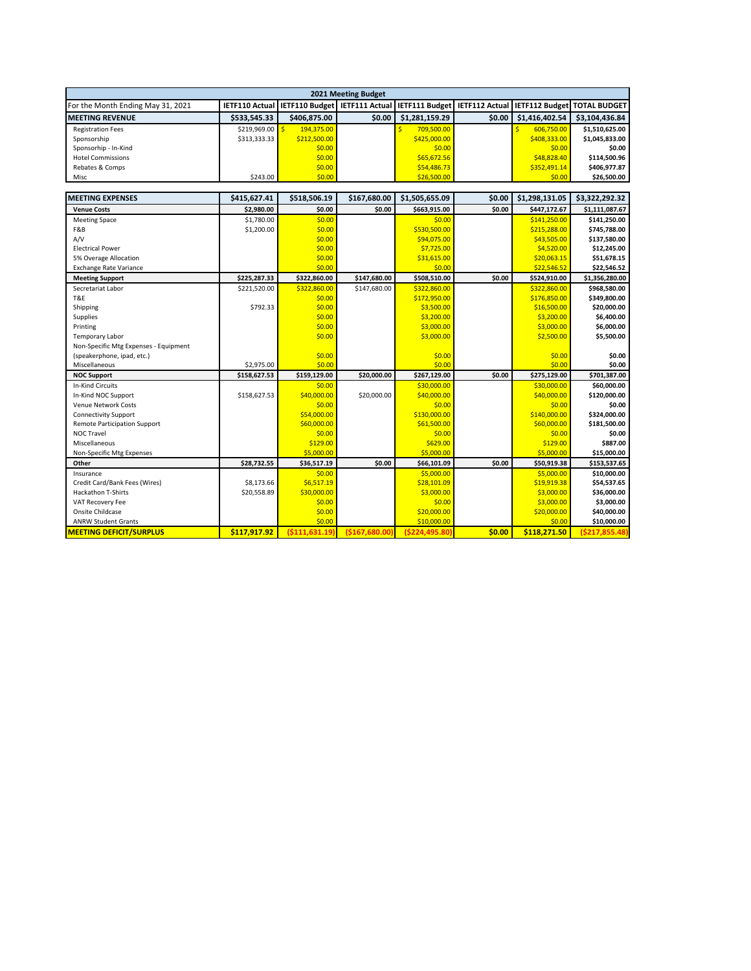| 2021 Meeting Budget               |              |              |        |                                                                                                                    |        |                |                |  |
|-----------------------------------|--------------|--------------|--------|--------------------------------------------------------------------------------------------------------------------|--------|----------------|----------------|--|
| For the Month Ending May 31, 2021 |              |              |        | IETF110 Actual   IETF110 Budget   IETF111 Actual   IETF111 Budget   IETF112 Actual   IETF112 Budget   TOTAL BUDGET |        |                |                |  |
| <b>IMEETING REVENUE</b>           | \$533.545.33 | \$406.875.00 | \$0.00 | \$1,281,159.29                                                                                                     | \$0.00 | \$1,416,402.54 | \$3,104,436.84 |  |
| <b>Registration Fees</b>          | \$219,969.00 | 194.375.00   |        | 709,500.00                                                                                                         |        | 606.750.00     | \$1,510,625.00 |  |
| Sponsorship                       | \$313.333.33 | \$212,500.00 |        | \$425,000.00                                                                                                       |        | \$408,333.00   | \$1,045,833.00 |  |
| Sponsorhip - In-Kind              |              | \$0.00       |        | \$0.00                                                                                                             |        | \$0.00         | \$0.00         |  |
| <b>Hotel Commissions</b>          |              | \$0.00       |        | \$65,672.56                                                                                                        |        | \$48,828.40    | \$114,500.96   |  |
| Rebates & Comps                   |              | \$0.00       |        | \$54,486.73                                                                                                        |        | \$352,491.14   | \$406,977.87   |  |
| Misc                              | \$243.00     | \$0.00       |        | \$26,500.00                                                                                                        |        | \$0.00         | \$26,500.00    |  |
|                                   |              |              |        |                                                                                                                    |        |                |                |  |

| <b>MEETING EXPENSES</b>               | \$415,627.41 | \$518,506.19     | \$167,680.00   | \$1,505,655.09   | \$0.00 | \$1,298,131.05 | \$3,322,292.32   |
|---------------------------------------|--------------|------------------|----------------|------------------|--------|----------------|------------------|
| <b>Venue Costs</b>                    | \$2,980.00   | \$0.00           | \$0.00         | \$663,915.00     | \$0.00 | \$447,172.67   | \$1,111,087.67   |
| <b>Meeting Space</b>                  | \$1,780.00   | \$0.00           |                | \$0.00           |        | \$141,250.00   | \$141,250.00     |
| F&B                                   | \$1,200.00   | \$0.00           |                | \$530,500.00     |        | \$215,288.00   | \$745,788.00     |
| A/V                                   |              | \$0.00           |                | \$94,075.00      |        | \$43,505.00    | \$137,580.00     |
| <b>Electrical Power</b>               |              | \$0.00           |                | \$7,725.00       |        | \$4,520.00     | \$12,245.00      |
| 5% Overage Allocation                 |              | \$0.00           |                | \$31,615.00      |        | \$20,063.15    | \$51,678.15      |
| <b>Exchange Rate Variance</b>         |              | \$0.00           |                | \$0.00           |        | \$22,546.52    | \$22,546.52      |
| <b>Meeting Support</b>                | \$225,287.33 | \$322,860.00     | \$147,680.00   | \$508,510.00     | \$0.00 | \$524,910.00   | \$1,356,280.00   |
| Secretariat Labor                     | \$221,520.00 | \$322,860.00     | \$147,680.00   | \$322,860.00     |        | \$322,860.00   | \$968,580.00     |
| T&E                                   |              | \$0.00           |                | \$172,950.00     |        | \$176,850.00   | \$349,800.00     |
| Shipping                              | \$792.33     | \$0.00           |                | \$3,500.00       |        | \$16,500.00    | \$20,000.00      |
| Supplies                              |              | \$0.00           |                | \$3,200.00       |        | \$3,200.00     | \$6,400.00       |
| Printing                              |              | \$0.00           |                | \$3,000.00       |        | \$3,000.00     | \$6,000.00       |
| <b>Temporary Labor</b>                |              | \$0.00           |                | \$3,000.00       |        | \$2,500.00     | \$5,500.00       |
| Non-Specific Mtg Expenses - Equipment |              |                  |                |                  |        |                |                  |
| (speakerphone, ipad, etc.)            |              | \$0.00           |                | \$0.00           |        | \$0.00         | \$0.00           |
| Miscellaneous                         | \$2,975.00   | \$0.00           |                | \$0.00           |        | \$0.00         | \$0.00           |
| <b>NOC Support</b>                    | \$158,627.53 | \$159,129.00     | \$20,000.00    | \$267,129.00     | \$0.00 | \$275,129.00   | \$701,387.00     |
| <b>In-Kind Circuits</b>               |              | \$0.00           |                | \$30,000.00      |        | \$30,000.00    | \$60,000.00      |
| In-Kind NOC Support                   | \$158,627.53 | \$40,000.00      | \$20,000.00    | \$40,000.00      |        | \$40,000.00    | \$120,000.00     |
| <b>Venue Network Costs</b>            |              | \$0.00           |                | \$0.00           |        | \$0.00         | \$0.00           |
| <b>Connectivity Support</b>           |              | \$54,000.00      |                | \$130,000.00     |        | \$140,000.00   | \$324,000.00     |
| <b>Remote Participation Support</b>   |              | \$60,000.00      |                | \$61,500.00      |        | \$60,000.00    | \$181,500.00     |
| NOC Travel                            |              | \$0.00           |                | \$0.00           |        | \$0.00         | \$0.00           |
| Miscellaneous                         |              | \$129.00         |                | \$629.00         |        | \$129.00       | \$887.00         |
| Non-Specific Mtg Expenses             |              | \$5,000.00       |                | \$5,000.00       |        | \$5,000.00     | \$15,000.00      |
| Other                                 | \$28,732.55  | \$36,517.19      | \$0.00         | \$66,101.09      | \$0.00 | \$50,919.38    | \$153,537.65     |
| Insurance                             |              | \$0.00           |                | \$5,000.00       |        | \$5,000.00     | \$10,000.00      |
| Credit Card/Bank Fees (Wires)         | \$8,173.66   | \$6,517.19       |                | \$28,101.09      |        | \$19,919.38    | \$54,537.65      |
| <b>Hackathon T-Shirts</b>             | \$20,558.89  | \$30,000.00      |                | \$3,000.00       |        | \$3,000.00     | \$36,000.00      |
| VAT Recovery Fee                      |              | \$0.00           |                | \$0.00           |        | \$3,000.00     | \$3,000.00       |
| Onsite Childcase                      |              | \$0.00           |                | \$20,000.00      |        | \$20,000.00    | \$40,000.00      |
| <b>ANRW Student Grants</b>            |              | \$0.00           |                | \$10,000.00      |        | \$0.00         | \$10,000.00      |
| <b>MEETING DEFICIT/SURPLUS</b>        | \$117,917.92 | ( \$111, 631.19] | (\$167,680.00] | ( \$224, 495.80] | \$0.00 | \$118,271.50   | ( \$217, 855.48) |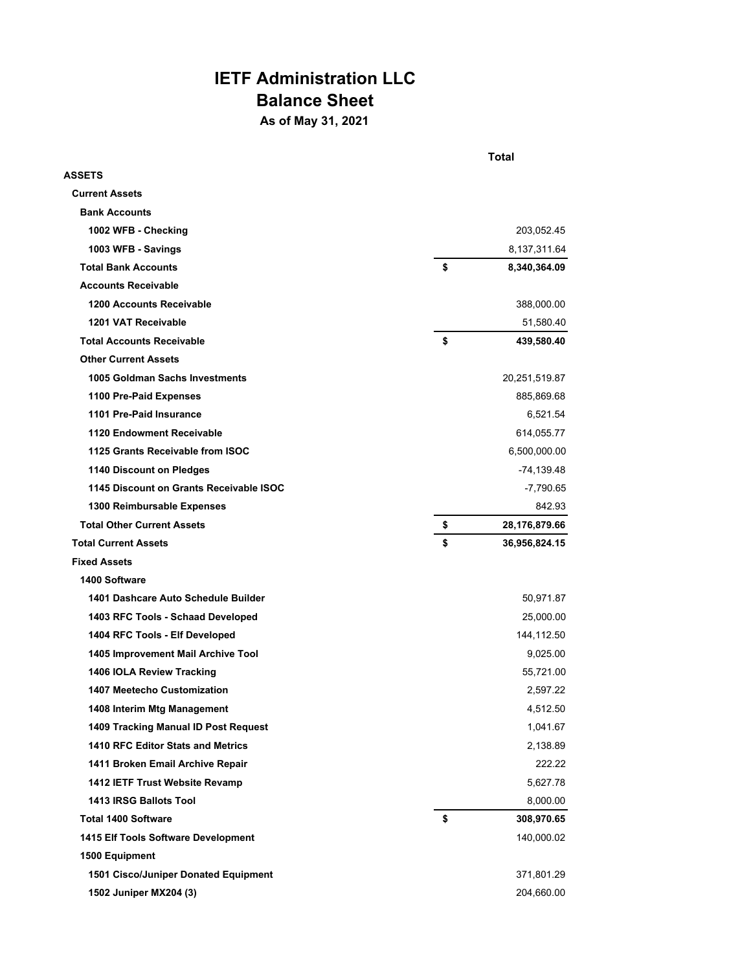## **IETF Administration LLC Balance Sheet**

**As of May 31, 2021**

|                                         | Total               |
|-----------------------------------------|---------------------|
| ASSETS                                  |                     |
| <b>Current Assets</b>                   |                     |
| <b>Bank Accounts</b>                    |                     |
| 1002 WFB - Checking                     | 203,052.45          |
| 1003 WFB - Savings                      | 8,137,311.64        |
| <b>Total Bank Accounts</b>              | \$<br>8,340,364.09  |
| <b>Accounts Receivable</b>              |                     |
| <b>1200 Accounts Receivable</b>         | 388,000.00          |
| 1201 VAT Receivable                     | 51,580.40           |
| <b>Total Accounts Receivable</b>        | \$<br>439,580.40    |
| <b>Other Current Assets</b>             |                     |
| 1005 Goldman Sachs Investments          | 20,251,519.87       |
| 1100 Pre-Paid Expenses                  | 885,869.68          |
| 1101 Pre-Paid Insurance                 | 6,521.54            |
| 1120 Endowment Receivable               | 614,055.77          |
| 1125 Grants Receivable from ISOC        | 6,500,000.00        |
| 1140 Discount on Pledges                | -74,139.48          |
| 1145 Discount on Grants Receivable ISOC | -7,790.65           |
| 1300 Reimbursable Expenses              | 842.93              |
| <b>Total Other Current Assets</b>       | \$<br>28,176,879.66 |
| <b>Total Current Assets</b>             | \$<br>36,956,824.15 |
| <b>Fixed Assets</b>                     |                     |
| 1400 Software                           |                     |
| 1401 Dashcare Auto Schedule Builder     | 50,971.87           |
| 1403 RFC Tools - Schaad Developed       | 25,000.00           |
| 1404 RFC Tools - Elf Developed          | 144,112.50          |
| 1405 Improvement Mail Archive Tool      | 9,025.00            |
| 1406 IOLA Review Tracking               | 55,721.00           |
| 1407 Meetecho Customization             | 2,597.22            |
| 1408 Interim Mtg Management             | 4,512.50            |
| 1409 Tracking Manual ID Post Request    | 1,041.67            |
| 1410 RFC Editor Stats and Metrics       | 2,138.89            |
| 1411 Broken Email Archive Repair        | 222.22              |
| 1412 IETF Trust Website Revamp          | 5,627.78            |
| 1413 IRSG Ballots Tool                  | 8,000.00            |
| <b>Total 1400 Software</b>              | \$<br>308,970.65    |
| 1415 Elf Tools Software Development     | 140,000.02          |
| 1500 Equipment                          |                     |
| 1501 Cisco/Juniper Donated Equipment    | 371,801.29          |
| 1502 Juniper MX204 (3)                  | 204,660.00          |
|                                         |                     |